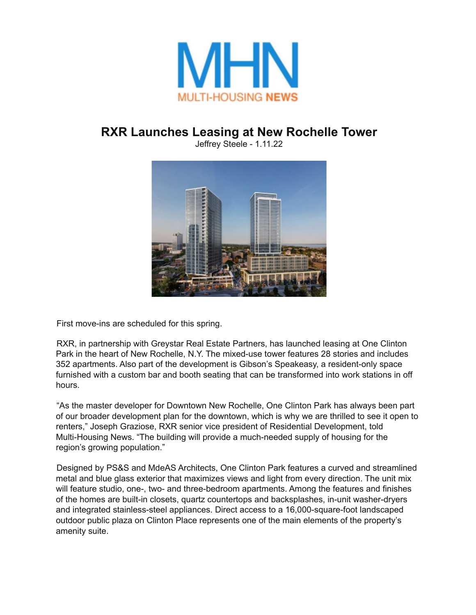

## **RXR Launches Leasing at New Rochelle Tower**

Jeffrey Steele - 1.11.22



First move-ins are scheduled for this spring.

RXR, in partnership with Greystar Real Estate Partners, has launched leasing at One Clinton Park in the heart of New Rochelle, N.Y. The mixed-use tower features 28 stories and includes 352 apartments. Also part of the development is Gibson's Speakeasy, a resident-only space furnished with a custom bar and booth seating that can be transformed into work stations in off hours.

"As the master developer for Downtown New Rochelle, One Clinton Park has always been part of our broader development plan for the downtown, which is why we are thrilled to see it open to renters," Joseph Graziose, RXR senior vice president of Residential Development, told Multi-Housing News. "The building will provide a much-needed supply of housing for the region's growing population."

Designed by PS&S and MdeAS Architects, One Clinton Park features a curved and streamlined metal and blue glass exterior that maximizes views and light from every direction. The unit mix will feature studio, one-, two- and three-bedroom apartments. Among the features and finishes of the homes are built-in closets, quartz countertops and backsplashes, in-unit washer-dryers and integrated stainless-steel appliances. Direct access to a 16,000-square-foot landscaped outdoor public plaza on Clinton Place represents one of the main elements of the property's amenity suite.